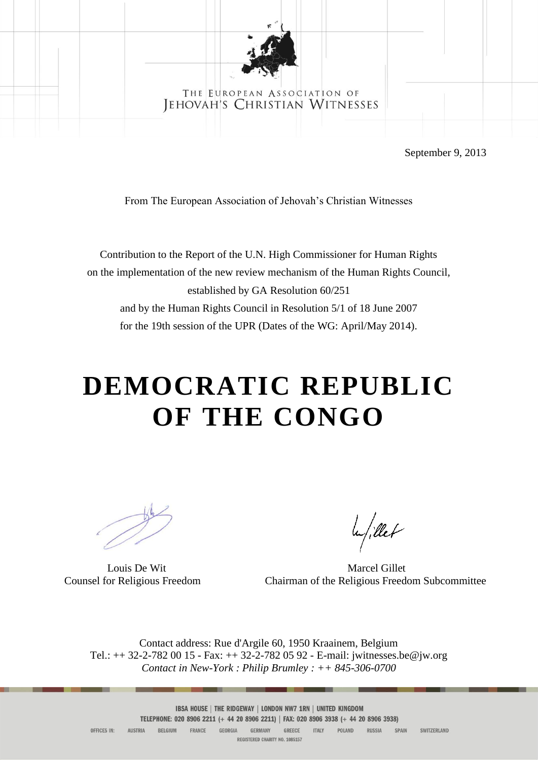

### THE EUROPEAN ASSOCIATION OF JEHOVAH'S CHRISTIAN WITNESSES

September 9, 2013

From The European Association of Jehovah's Christian Witnesses

Contribution to the Report of the U.N. High Commissioner for Human Rights on the implementation of the new review mechanism of the Human Rights Council, established by GA Resolution 60/251 and by the Human Rights Council in Resolution 5/1 of 18 June 2007 for the 19th session of the UPR (Dates of the WG: April/May 2014).

# **DEMOCRATIC REPUBLIC OF THE CONGO**

le/illet

Louis De Wit Marcel Gillet Counsel for Religious Freedom Chairman of the Religious Freedom Subcommittee

Contact address: Rue d'Argile 60, 1950 Kraainem, Belgium Tel.: ++ 32-2-782 00 15 - Fax: ++ 32-2-782 05 92 - E-mail: jwitnesses.be@jw.org *Contact in New-York : Philip Brumley : ++ 845-306-0700*

> IBSA HOUSE | THE RIDGEWAY | LONDON NW7 1RN | UNITED KINGDOM TELEPHONE: 020 8906 2211 (+ 44 20 8906 2211) | FAX: 020 8906 3938 (+ 44 20 8906 3938)

AUSTRIA BELGIUM FRANCE GEORGIA GERMANY GREECE ITALY POLAND RUSSIA SPAIN OFFICES IN: SWITZERLAND REGISTERED CHARITY NO. 1085157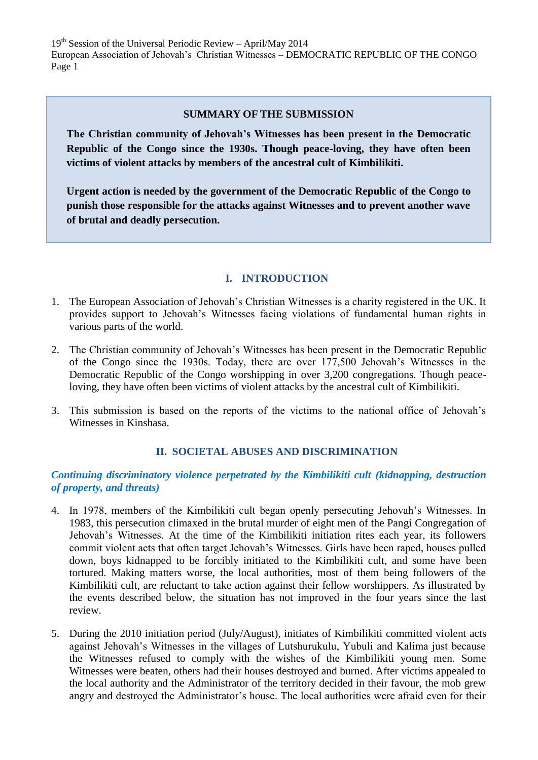$19<sup>th</sup>$  Session of the Universal Periodic Review – April/May 2014 European Association of Jehovah's Christian Witnesses – DEMOCRATIC REPUBLIC OF THE CONGO Page 1

## **SUMMARY OF THE SUBMISSION**

**The Christian community of Jehovah's Witnesses has been present in the Democratic Republic of the Congo since the 1930s. Though peace-loving, they have often been victims of violent attacks by members of the ancestral cult of Kimbilikiti.** 

**Urgent action is needed by the government of the Democratic Republic of the Congo to punish those responsible for the attacks against Witnesses and to prevent another wave of brutal and deadly persecution.**

## **I. INTRODUCTION**

- 1. The European Association of Jehovah's Christian Witnesses is a charity registered in the UK. It provides support to Jehovah's Witnesses facing violations of fundamental human rights in various parts of the world.
- 2. The Christian community of Jehovah's Witnesses has been present in the Democratic Republic of the Congo since the 1930s. Today, there are over 177,500 Jehovah's Witnesses in the Democratic Republic of the Congo worshipping in over 3,200 congregations. Though peaceloving, they have often been victims of violent attacks by the ancestral cult of Kimbilikiti.
- 3. This submission is based on the reports of the victims to the national office of Jehovah's Witnesses in Kinshasa.

# **II. SOCIETAL ABUSES AND DISCRIMINATION**

# *Continuing discriminatory violence perpetrated by the Kimbilikiti cult (kidnapping, destruction of property, and threats)*

- 4. In 1978, members of the Kimbilikiti cult began openly persecuting Jehovah's Witnesses. In 1983, this persecution climaxed in the brutal murder of eight men of the Pangi Congregation of Jehovah's Witnesses. At the time of the Kimbilikiti initiation rites each year, its followers commit violent acts that often target Jehovah's Witnesses. Girls have been raped, houses pulled down, boys kidnapped to be forcibly initiated to the Kimbilikiti cult, and some have been tortured. Making matters worse, the local authorities, most of them being followers of the Kimbilikiti cult, are reluctant to take action against their fellow worshippers. As illustrated by the events described below, the situation has not improved in the four years since the last review.
- 5. During the 2010 initiation period (July/August), initiates of Kimbilikiti committed violent acts against Jehovah's Witnesses in the villages of Lutshurukulu, Yubuli and Kalima just because the Witnesses refused to comply with the wishes of the Kimbilikiti young men. Some Witnesses were beaten, others had their houses destroyed and burned. After victims appealed to the local authority and the Administrator of the territory decided in their favour, the mob grew angry and destroyed the Administrator's house. The local authorities were afraid even for their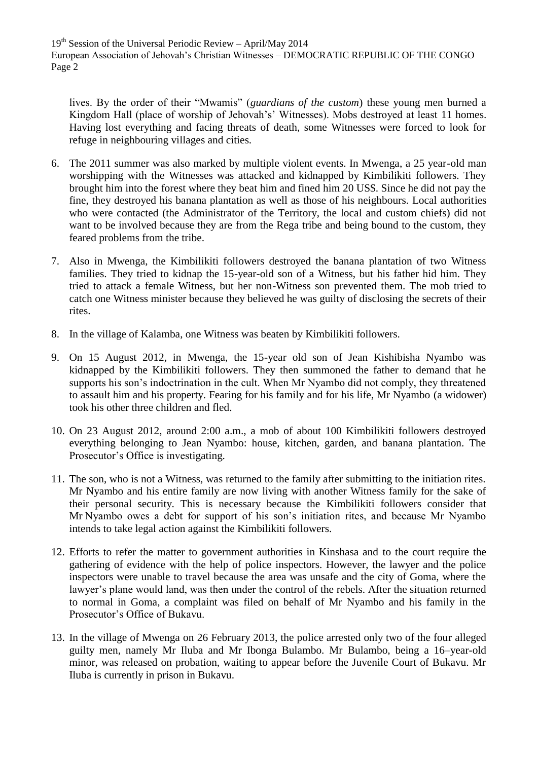$19<sup>th</sup>$  Session of the Universal Periodic Review – April/May 2014 European Association of Jehovah's Christian Witnesses – DEMOCRATIC REPUBLIC OF THE CONGO Page 2

lives. By the order of their "Mwamis" (*guardians of the custom*) these young men burned a Kingdom Hall (place of worship of Jehovah's' Witnesses). Mobs destroyed at least 11 homes. Having lost everything and facing threats of death, some Witnesses were forced to look for refuge in neighbouring villages and cities.

- 6. The 2011 summer was also marked by multiple violent events. In Mwenga, a 25 year-old man worshipping with the Witnesses was attacked and kidnapped by Kimbilikiti followers. They brought him into the forest where they beat him and fined him 20 US\$. Since he did not pay the fine, they destroyed his banana plantation as well as those of his neighbours. Local authorities who were contacted (the Administrator of the Territory, the local and custom chiefs) did not want to be involved because they are from the Rega tribe and being bound to the custom, they feared problems from the tribe.
- 7. Also in Mwenga, the Kimbilikiti followers destroyed the banana plantation of two Witness families. They tried to kidnap the 15-year-old son of a Witness, but his father hid him. They tried to attack a female Witness, but her non-Witness son prevented them. The mob tried to catch one Witness minister because they believed he was guilty of disclosing the secrets of their rites.
- 8. In the village of Kalamba, one Witness was beaten by Kimbilikiti followers.
- 9. On 15 August 2012, in Mwenga, the 15-year old son of Jean Kishibisha Nyambo was kidnapped by the Kimbilikiti followers. They then summoned the father to demand that he supports his son's indoctrination in the cult. When Mr Nyambo did not comply, they threatened to assault him and his property. Fearing for his family and for his life, Mr Nyambo (a widower) took his other three children and fled.
- 10. On 23 August 2012, around 2:00 a.m., a mob of about 100 Kimbilikiti followers destroyed everything belonging to Jean Nyambo: house, kitchen, garden, and banana plantation. The Prosecutor's Office is investigating.
- 11. The son, who is not a Witness, was returned to the family after submitting to the initiation rites. Mr Nyambo and his entire family are now living with another Witness family for the sake of their personal security. This is necessary because the Kimbilikiti followers consider that Mr Nyambo owes a debt for support of his son's initiation rites, and because Mr Nyambo intends to take legal action against the Kimbilikiti followers.
- 12. Efforts to refer the matter to government authorities in Kinshasa and to the court require the gathering of evidence with the help of police inspectors. However, the lawyer and the police inspectors were unable to travel because the area was unsafe and the city of Goma, where the lawyer's plane would land, was then under the control of the rebels. After the situation returned to normal in Goma, a complaint was filed on behalf of Mr Nyambo and his family in the Prosecutor's Office of Bukavu.
- 13. In the village of Mwenga on 26 February 2013, the police arrested only two of the four alleged guilty men, namely Mr Iluba and Mr Ibonga Bulambo. Mr Bulambo, being a 16–year-old minor, was released on probation, waiting to appear before the Juvenile Court of Bukavu. Mr Iluba is currently in prison in Bukavu.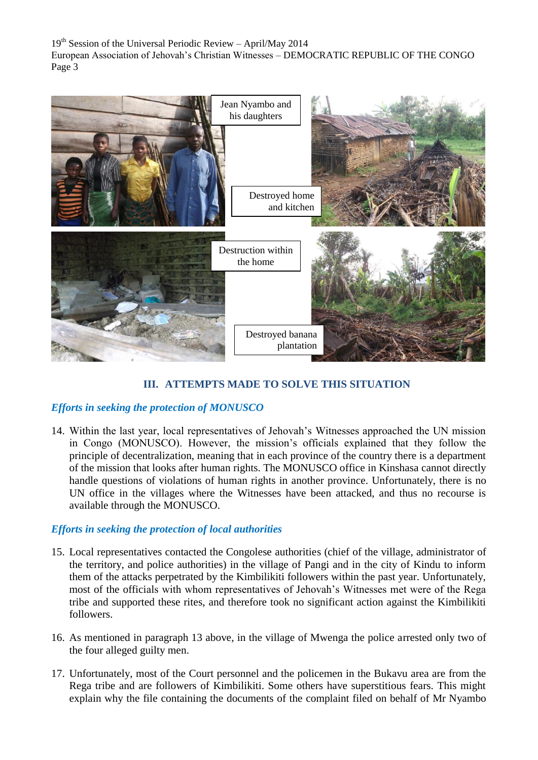$19<sup>th</sup>$  Session of the Universal Periodic Review – April/May 2014 European Association of Jehovah's Christian Witnesses – DEMOCRATIC REPUBLIC OF THE CONGO Page 3



# **III. ATTEMPTS MADE TO SOLVE THIS SITUATION**

# *Efforts in seeking the protection of MONUSCO*

14. Within the last year, local representatives of Jehovah's Witnesses approached the UN mission in Congo (MONUSCO). However, the mission's officials explained that they follow the principle of decentralization, meaning that in each province of the country there is a department of the mission that looks after human rights. The MONUSCO office in Kinshasa cannot directly handle questions of violations of human rights in another province. Unfortunately, there is no UN office in the villages where the Witnesses have been attacked, and thus no recourse is available through the MONUSCO.

#### *Efforts in seeking the protection of local authorities*

- 15. Local representatives contacted the Congolese authorities (chief of the village, administrator of the territory, and police authorities) in the village of Pangi and in the city of Kindu to inform them of the attacks perpetrated by the Kimbilikiti followers within the past year. Unfortunately, most of the officials with whom representatives of Jehovah's Witnesses met were of the Rega tribe and supported these rites, and therefore took no significant action against the Kimbilikiti followers.
- 16. As mentioned in paragraph 13 above, in the village of Mwenga the police arrested only two of the four alleged guilty men.
- 17. Unfortunately, most of the Court personnel and the policemen in the Bukavu area are from the Rega tribe and are followers of Kimbilikiti. Some others have superstitious fears. This might explain why the file containing the documents of the complaint filed on behalf of Mr Nyambo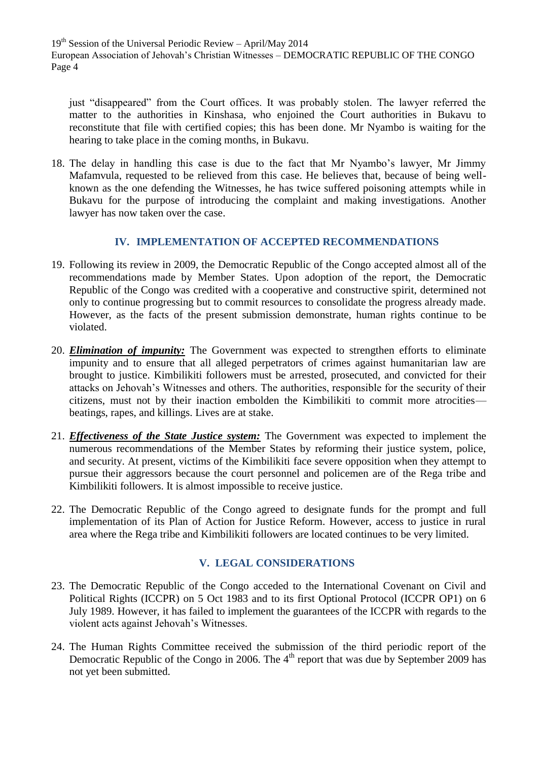19<sup>th</sup> Session of the Universal Periodic Review - April/May 2014 European Association of Jehovah's Christian Witnesses – DEMOCRATIC REPUBLIC OF THE CONGO Page 4

just "disappeared" from the Court offices. It was probably stolen. The lawyer referred the matter to the authorities in Kinshasa, who enjoined the Court authorities in Bukavu to reconstitute that file with certified copies; this has been done. Mr Nyambo is waiting for the hearing to take place in the coming months, in Bukavu.

18. The delay in handling this case is due to the fact that Mr Nyambo's lawyer, Mr Jimmy Mafamvula, requested to be relieved from this case. He believes that, because of being wellknown as the one defending the Witnesses, he has twice suffered poisoning attempts while in Bukavu for the purpose of introducing the complaint and making investigations. Another lawyer has now taken over the case.

# **IV. IMPLEMENTATION OF ACCEPTED RECOMMENDATIONS**

- 19. Following its review in 2009, the Democratic Republic of the Congo accepted almost all of the recommendations made by Member States. Upon adoption of the report, the Democratic Republic of the Congo was credited with a cooperative and constructive spirit, determined not only to continue progressing but to commit resources to consolidate the progress already made. However, as the facts of the present submission demonstrate, human rights continue to be violated.
- 20. *Elimination of impunity:* The Government was expected to strengthen efforts to eliminate impunity and to ensure that all alleged perpetrators of crimes against humanitarian law are brought to justice. Kimbilikiti followers must be arrested, prosecuted, and convicted for their attacks on Jehovah's Witnesses and others. The authorities, responsible for the security of their citizens, must not by their inaction embolden the Kimbilikiti to commit more atrocities beatings, rapes, and killings. Lives are at stake.
- 21. *Effectiveness of the State Justice system:* The Government was expected to implement the numerous recommendations of the Member States by reforming their justice system, police, and security. At present, victims of the Kimbilikiti face severe opposition when they attempt to pursue their aggressors because the court personnel and policemen are of the Rega tribe and Kimbilikiti followers. It is almost impossible to receive justice.
- 22. The Democratic Republic of the Congo agreed to designate funds for the prompt and full implementation of its Plan of Action for Justice Reform. However, access to justice in rural area where the Rega tribe and Kimbilikiti followers are located continues to be very limited.

# **V. LEGAL CONSIDERATIONS**

- 23. The Democratic Republic of the Congo acceded to the International Covenant on Civil and Political Rights (ICCPR) on 5 Oct 1983 and to its first Optional Protocol (ICCPR OP1) on 6 July 1989. However, it has failed to implement the guarantees of the ICCPR with regards to the violent acts against Jehovah's Witnesses.
- 24. The Human Rights Committee received the submission of the third periodic report of the Democratic Republic of the Congo in 2006. The 4<sup>th</sup> report that was due by September 2009 has not yet been submitted.